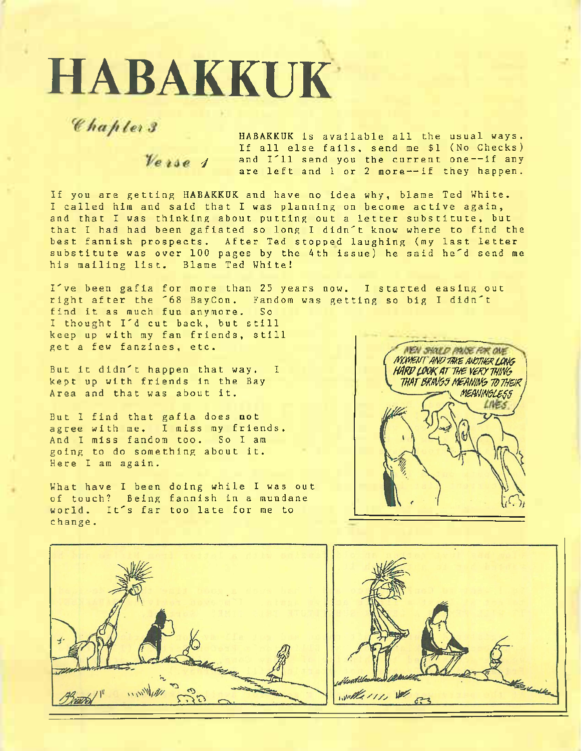## **HABAKKUK**

Chapters

*J* HABAKKUK is available all the usual ways. If all else fails, send me \$1 (No Checks) and I'll send you the current one-~if any are left and <sup>1</sup> or <sup>2</sup> more--if they happen.

If you are getting HABAKKUK and have no idea why, blame Ted White. <sup>I</sup> called him and said that <sup>I</sup> was planning on become active again, and that <sup>I</sup> was thinking about putting out a letter substitute, but that <sup>I</sup> had had been gafiated so long <sup>I</sup> didn't know where to find the best fannish prospects. After Ted stopped laughing (my last letter substitute was over 100 pages by the 4th issue) he said he'd send me his mailing list. Blame Ted White!

I've been gafia for more than 25 years now. <sup>I</sup> started easing out right after the '68 BayCon. Fandom was getting so big <sup>I</sup> didn't find it as much fun anymore. So <sup>I</sup> thought I'd cut back, but still keep up with my fan friends, still get a few fanzines, etc.

But it didn't happen that way. <sup>I</sup> kept up with friends in the Bay Area and that was about it.

But <sup>I</sup> find that gafia does not agree with me. <sup>I</sup> miss my friends. And <sup>I</sup> miss fandom too. So <sup>I</sup> am going to do something about it. Here <sup>I</sup> am again.

What have <sup>I</sup> been doing while <sup>I</sup> was out of touch? Being fannish in a mundane world. It's far too late for me to change.





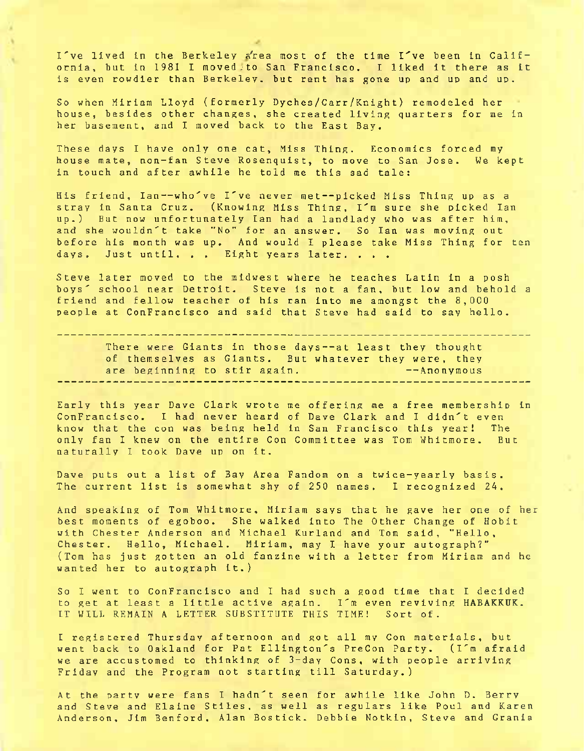I've lived in the Berkeley a'rea most of the time I've been in California, but in 1981 I moved to San Francisco. I liked it there as it is even rowdier than Berkeley, but rent has gone up and up and up.

So when Miriam Lloyd (formerly Dyches/Carr/Knight) remodeled her house, besides other changes, she created living quarters for me in her basement, and <sup>I</sup> moved back to the East Bay.

These days <sup>I</sup> have only one cat, Miss Thing. Economics forced my house mate, non-fan Steve Rosenquist, to move to San Jose. We kept in touch and after awhile he told me this sad tale:

His friend, Ian—who've I've never met--picked Miss Thing up as <sup>a</sup> stray in Santa Cruz. (Knowing Miss Thing, I'm sure she picked Ian up.) But now unfortunately Ian had <sup>a</sup> landlady who was after him, and she wouldn't take "No" for an answer. So Ian was moving ou before his month was up. And would I please take Miss Thing for ten days. Just until. . . Eight years later. . . .

Steve later moved to the midwest where he teaches Latin in a posh boys' school near Detroit. Steve is not a fan, but low and behold <sup>a</sup> friend and fellow teacher of his ran into me amongst the 8,000 people at ConFrancisco and said that Steve had said to say hello.

There were Giants in those days—at least they thought of themselves as Giants. But whatever they were, they are beginning to stir again. The contract of  $-$ Anonymous 

Early this year Dave Clark wrote me offering me a free membership in ConFrancisco. <sup>I</sup> had never heard of Dave Clark and <sup>I</sup> didn't even know that the con was being held in San Francisco this year! The only fan <sup>I</sup> knew on the entire Con Committee was Tom Whitmore. But naturally <sup>I</sup> took Dave up on it.

Dave puts out a list of Bay Area Fandom on a twice-yearly basis. The current list is somewhat shy of 250 names. <sup>I</sup> recognized 24.

And speaking of Tom Whitmore, Miriam says that he gave her one of her best moments of egoboo. She walked into The Other Change of Hobit with Chester Anderson and Michael Kurland and Tom said, "Hello, Chester. Hello, Michael. Miriam, may <sup>I</sup> have your autograph?" (Tom has just gotten an old fanzine with a letter from Miriam and he wanted her to autograph it.)

So <sup>I</sup> went to ConFrancisco and <sup>I</sup> had such a good time that <sup>I</sup> decided to get at least <sup>a</sup> little active again. I'm even reviving **HABAKKUK.** IT WILL REMAIN A LETTER SUBSTITUTE THIS TIME! Sort of.

<sup>I</sup> registered Thursday afternoon and got all my Con materials, but went back to Oakland for Pat Ellington's PreCon Party. (I'm afraid we are accustomed to thinking of 3-day Cons, with people arriving Friday and the Program not starting till Saturday.)

At the party were fans <sup>I</sup> hadn't seen for awhile like John D. Berry and Steve and Elaine Stiles, as well as regulars like Poul and Karen Anderson, Jim Benford, Alan Bostick. Debbie Notkin, Steve and Grania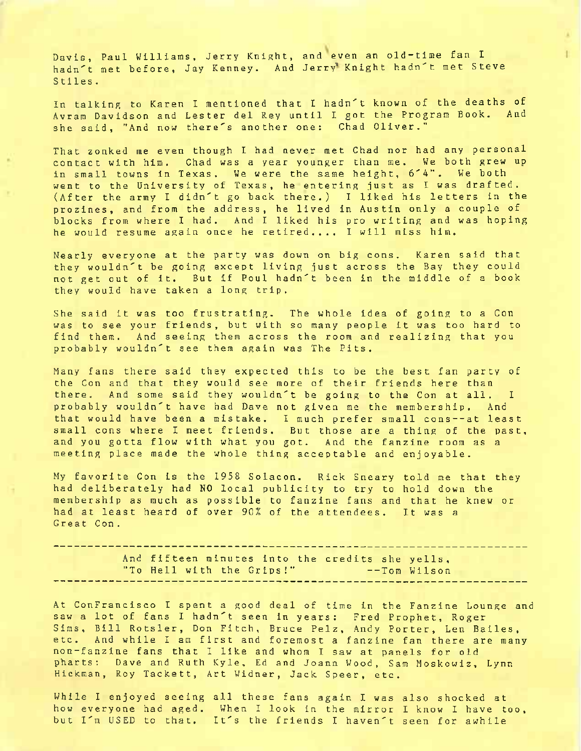Davis, Paul Williams, Jerry Knight, and even an old-time fan <sup>I</sup> hadn't met before, Jay Kenney. And Jerry Knight hadn't met Steve Stiles.

In talking to Karen <sup>I</sup> mentioned that <sup>I</sup> hadn't known of the deaths of Avram Davidson and Lester del Rey until <sup>I</sup> got the Program Book. And she said, "And now there's another one: Chad Oliver."

That zonked me even though <sup>I</sup> had never met Chad nor had any personal contact with him. Chad was a year younger than me. We both grew up in small towns in Texas. We were the same height, 6'4". We both went to the University of Texas, he entering just as I was drafted. (After the army <sup>I</sup> didn't go back there.) <sup>I</sup> liked his letters in the prozines, and from the address, he lived in Austin only a couple of blocks from where <sup>I</sup> had. And <sup>I</sup> liked his pro writing and was hoping he would resume again once he retired.... <sup>I</sup> will miss him.

Nearly everyone at the party was down on big cons. Karen said that they wouldn't be going except living just across the Bay they could not get out of it. But if Poul hadn't been in the middle of <sup>a</sup> book they would have taken a long trip.

She said it was too frustrating. The whole idea of going to <sup>a</sup> Con was to see your friends, but with so many people it was too hard to find them. And seeing them across the room and realizing that you probably wouldn't see them again was The Pits.

Many fans there said they expected this to be the best fan party of the Con and that they would see more of their friends here than there. And some said they wouldn't be going to the Con at all. <sup>I</sup> probably wouldn't have had Dave not given me the membership. And that would have been a mistake. <sup>I</sup> much prefer small cons--at least small cons where <sup>I</sup> meet friends. But those are a thing of the past, and you gotta flow with what you got. And the fanzine room as a meeting place made the whole thing acceptable and enjoyable.

My favorite Con is the 1958 Solacon. Rick Sneary told me that they had deliberately had NO local publicity to try to hold down the membership as much as possible to fanzine fans and that he knew or had at least heard of over 90% of the attendees. It was <sup>a</sup> Great Con.

And fifteen minutes into the credits she yells, "To Hell with the Grips!" --Tom Wilson

At ConFrancisco <sup>I</sup> spent <sup>a</sup> good deal of time in the Fanzine Lounge and saw a lot of fans <sup>I</sup> hadn't seen in years: Fred Prophet, Roger Sims, Bill Rotsler, Don Fitch, Bruce Pelz, Andy Porter, Len Bailes, etc. And while <sup>I</sup> am first and foremost a fanzine fan there are many non-fanzine fans that <sup>I</sup> like and whom <sup>I</sup> saw at panels for old pharts: Dave and Ruth Kyle, Ed and Joann Wood, Sam Moskowiz, Lynn Hickman, Roy Tackett, Art Widner, Jack Speer, etc.

While <sup>I</sup> enjoyed seeing all these fans again <sup>I</sup> was also shocked at how everyone had aged. When <sup>I</sup> look in the mirror <sup>I</sup> know <sup>I</sup> have too, but I'm USED to that. It's the friends <sup>I</sup> haven't seen for awhile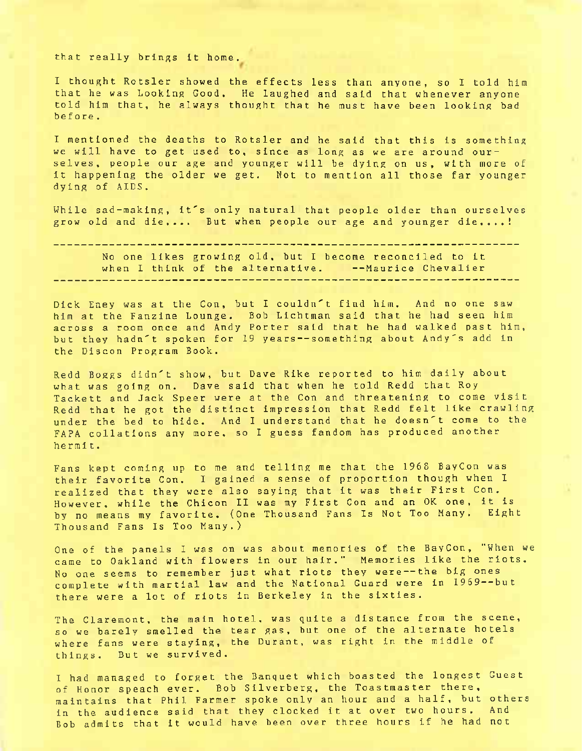that really brings it home.

<sup>I</sup> thought Rotsler showed the effects less than anyone, so <sup>I</sup> told him that he was Looking Good. He laughed and said that whenever anyone told him that, he always thought that he must have been looking bad before.

<sup>I</sup> mentioned the deaths to Rotsler and he said that this is something we will have to get used to, since as long as we are around ourselves, people our age and younger will be dying on us, with more of it happening the older we get. Not to mention all those far younger dying of AIDS.

While sad-making, it's only natural that people older than ourselves grow old and die.... But when people our age and younger die....!

No one likes growing old, but <sup>I</sup> become reconciled to it when <sup>I</sup> think of the alternative. --Maurice Chevalier

Dick Eney was at the Con, but <sup>I</sup> couldn't find him. And no one saw him at the Fanzine Lounge. Bob Lichtman said that he had seen him across a room once and Andy Porter said that he had walked past him, but they hadn't spoken for 19 years--something about Andy's add in the Discon Program Book.

Redd Boggs didn't show, but Dave Rike reported to him daily about what was going on. Dave said that when he told Redd that Roy Tackett and Jack Speer were at the Con and threatening to come visit Redd that he got the distinct impression that Redd felt like crawling under the bed to hide. And <sup>I</sup> understand that he doesn't come to the FAPA collations any more, so <sup>I</sup> guess fandom has produced another hermit.

Fans kept coming up to me and telling me that the 1968 BayCon was their favorite Con. <sup>I</sup> gained a sense of proportion though when <sup>1</sup> realized that they were also saying that it was their First Con. However, while the Chicon II was my First Con and an OK one, it is by no means my favorite. (One Thousand Fans Is Not Too Many. Eight Thousand Fans Is Too Many.)

One of the panels <sup>I</sup> was on was about memories of the BayCon, "When we came to Oakland with flowers in our hair." Memories like the riots. No one seems to remember just what riots they were—the big ones complete with martial law and the National Guard were in 1969--but there were a lot of riots in Berkeley in the sixties.

The Claremont, the main hotel, was quite a distance from the scene, so we barely smelled the tear gas, but one of the alternate hotels where fans were staying, the Durant, was right in the middle of things. But we survived.

<sup>I</sup> had managed to forget the Banquet which boasted the longest Guest of Honor speach ever. Bob Silverberg, the Toastmaster there, maintains that Phil Farmer spoke only an hour and a half, but others in the audience said that they clocked it at over two hours. And Bob admits that it would have been over three hours if he had not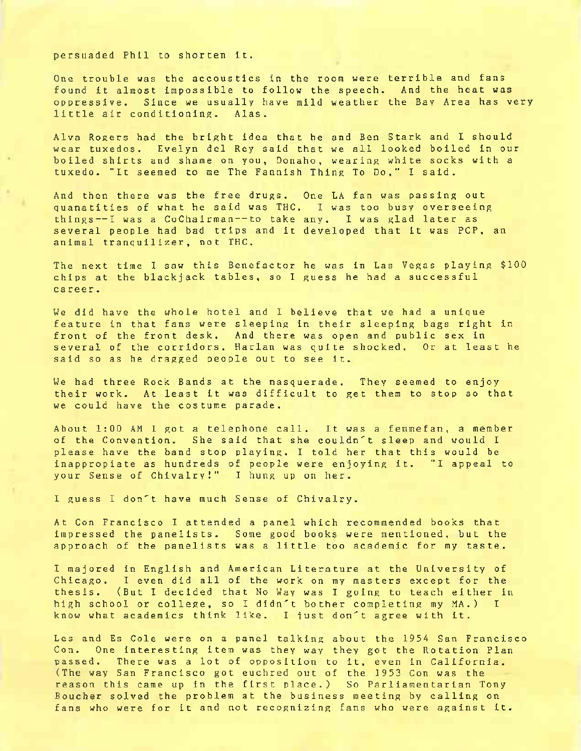## persuaded Phil to shorten it.

One trouble was the accoustics in the room were terrible and fans found it almost impossible to follow the speech. And the heat was oppressive. Since we usually have mild weather the Bay Area has very little air conditioning, Alas.

Alva Rogers had the bright idea that he and Ben Stark and <sup>I</sup> should wear tuxedos. Evelyn del Rey said that we all looked boiled in our boiled shirts and shame on you, Donaho, wearing white socks with <sup>a</sup> tuxedo. "It seemed to me The Fannish Thing To Do," <sup>I</sup> said.

And then there was the free drugs. One LA fan was passing out quanatities of what he said was THC. <sup>I</sup> was too busy overseeing things —<sup>I</sup> was <sup>a</sup> Co Chairman--to take any. <sup>I</sup> was glad later as several people had bad trips and it developed that it was PCP, an animal tranquilizer, not THC.

The next time <sup>I</sup> saw this Benefactor he was in Las Vegas playing \$100 chips at the blackjack tables, so <sup>I</sup> guess he had a successful career.

We did have the whole hotel and <sup>I</sup> believe that we had a unique feature in that fans were sleeping in their sleeping bags right in front of the front desk. And there was open and public sex in several of the corridors. Harlan was quite shocked. Or at least he said so as he dragged people out to see it.

We had three Rock Bands at the masquerade. They seemed to enjoy their work. At least it was difficult to get them to stop so that we could have the costume parade.

About 1:00 AM <sup>I</sup> got a telephone call. It was <sup>a</sup> femmefan, <sup>a</sup> member of the Convention. She said that she couldn't sleep and would <sup>I</sup> please have the band stop playing. <sup>I</sup> told her that this would be inappropiate as hundreds of people were enjoying it. "I appeal to your Sense of Chivalry!" <sup>I</sup> hung up on her.

<sup>I</sup> guess <sup>I</sup> don't have much Sense of Chivalry.

At Con Francisco <sup>I</sup> attended <sup>a</sup> panel which recommended books that impressed the panelists. Some good books were mentioned, but the approach of the panelists was <sup>a</sup> little too academic for my taste.

<sup>I</sup> majored in English and American Literature at the University of Chicago. <sup>I</sup> even did all of the work on my masters except for the thesis. (But <sup>I</sup> decided that No Way was <sup>I</sup> going to teach either in high school or college, so <sup>I</sup> didn't bother completing my MA.) <sup>I</sup> know what academics think like. <sup>I</sup> just don't agree with it.

Les and Es Cole were on a panel talking about the 1954 San Francisco Con. One interesting item was they way they got the Rotation Plan passed. There was a lot of opposition to it, even in California. (The way San Francisco got euchred out of the 1953 Con was the reason this came up in the first place.) So Parliamentarian Tony Boucher solved the problem at the business meeting by calling on fans who were for it and not recognizing fans who were against it.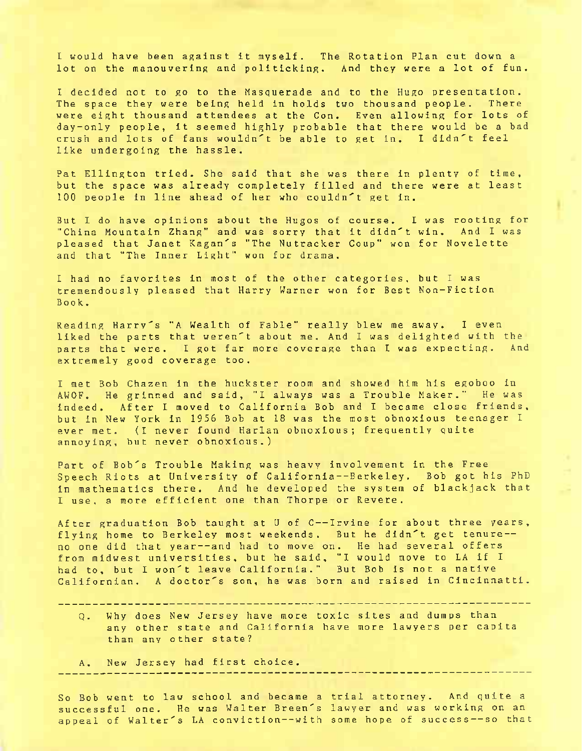<sup>I</sup> would have been against it myself. The Rotation Plan cut down <sup>a</sup> lot on the manouvering and politicking. And they were a lot of fun.

<sup>I</sup> decided not to go to the Masquerade and to the Hugo presentation. The space they were being held in holds two thousand people. There were eight thousand attendees at the Con. Even allowing for lots of day-only people, it seemed highly probable that there would be <sup>a</sup> bad crush and lots of fans wouldn't be able to get in. <sup>I</sup> didn't feel like undergoing the hassle.

Pat Ellington tried. She said that she was there in plenty of time, but the space was already completely filled and there were at least 100 people in line ahead of her who couldn't get in.

But <sup>I</sup> do have opinions about the Hugos of course. <sup>I</sup> was rooting for "China Mountain Zhang" and was sorry that it didn't win. And <sup>I</sup> was pleased that Janet Kagan's "The Nutracker Coup" won for Novelette and that "The Inner Light" won for drama.

<sup>I</sup> had no favorites in most of the other categories, but <sup>I</sup> was tremendously pleased that Harry Warner won for Best Non-Fiction Book.

Reading Harry's "A Wealth of Fable" really blew me away. <sup>I</sup> even liked the parts that weren't about me. And <sup>I</sup> was delighted with the parts that were. <sup>I</sup> got far more coverage than <sup>I</sup> was expecting. And extremely good coverage too.

<sup>I</sup> met Bob Chazen in the huckster room and showed him his egoboo in AWOF. He grinned and said, "I always was a Trouble Maker." He was indeed. After <sup>I</sup> moved to California Bob and <sup>I</sup> became close friends, but in New York in 1956 Bob at 18 was the most obnoxious teenager <sup>I</sup> ever met. (I never found Harlan obnoxious; frequently quite annoying, but never obnoxious.)

Part of Bob's Trouble Making was heavy involvement in the Free Speech Riots at University of California--Berke1ey. Bob got his PhD in mathematics there. And he developed the system of blackjack that <sup>I</sup> use, <sup>a</sup> more efficient one than Thorpe or Revere.

After graduation Bob taught at U of C--Irvine for about three years, flying home to Berkeley most weekends. But he didn't get tenure no one did that year--and had to move on. He had several offers from midwest universities, but he said, "I would move to LA if <sup>I</sup> had to, but <sup>I</sup> won't leave California." But Bob is not a native Californian. A doctor's son, he was born and raised in Cincinnatti.

Q. Why does New Jersey have more toxic sites and dumps than any other state and California have more lawyers per capita than any other state?

A. New Jersey had first choice.

So Bob went to law school and became a trial attorney. And quite <sup>a</sup> successful one. He was Walter Breen's lawyer and was working on an appeal of Walter's LA conviction--with some hope of success—-so that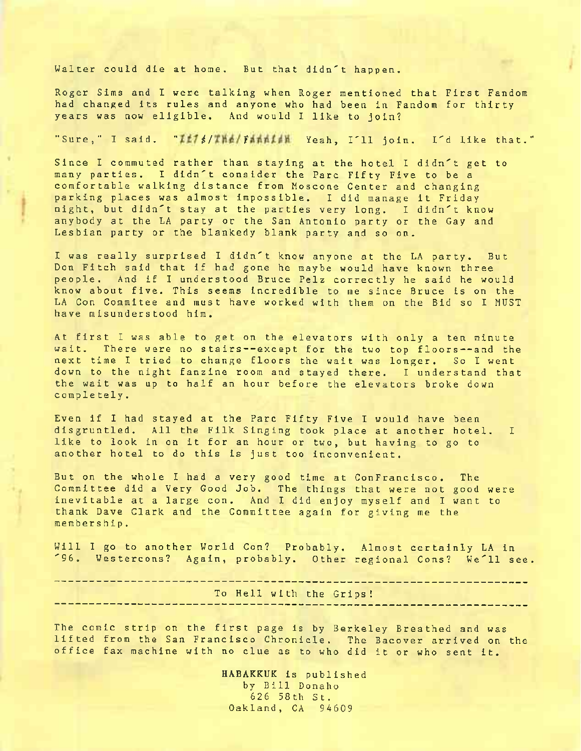Walter could die at home. But that didn't happen.

Roger Sims and <sup>I</sup> were talking when Roger mentioned that First Fandom had changed its rules and anyone who had been in Fandom for thirty years was now eligible. And would <sup>I</sup> like to join?

## "Sure," <sup>I</sup> said. " *i / <sup>1</sup>* Yeah, I'll join. I'd like that."

Since <sup>I</sup> commuted rather than staying at the hotel <sup>I</sup> didn't get to many parties. I didn't consider the Parc Fifty Five to be a comfortable walking distance from Moscone Center and changing parking places was almost impossible. <sup>I</sup> did manage it Friday night, but didn't stay at the parties very long. <sup>I</sup> didn't know anybody at the LA party or the San Antonio party or the Gay and Lesbian party or the blankedy blank party and so on.

<sup>I</sup> was really surprised <sup>I</sup> didn't know anyone at the LA party. But Don Fitch said that if had gone he maybe would have known three people. And if <sup>I</sup> understood Bruce Pelz correctly he said he would know about five. This seems incredible to me since Bruce is on the LA Con Commitee and must have worked with them on the Bid so <sup>I</sup> MUST have misunderstood him.

At first <sup>I</sup> was able to get on the elevators with only a ten minute wait. There were no stairs--except for the two top floors--and the next time <sup>I</sup> tried to change floors the wait was longer. So <sup>I</sup> went down to the night fanzine room and stayed there. <sup>I</sup> understand that the wait was up to half an hour before the elevators broke down completely.

Even if <sup>I</sup> had stayed at the Parc Fifty Five <sup>I</sup> would have been disgruntled. All the Filk Singing took place at another hotel. <sup>I</sup> like to look in on it for an hour or two, but having to go to another hotel to do this is just too inconvenient.

But on the whole <sup>I</sup> had a very good time at ConFrancisco . The Committee did a Very Good Job. The things that were not good were inevitable at a large con. And <sup>I</sup> did enjoy myself and <sup>I</sup> want to thank Dave Clark and the Committee again for giving me the membership.

Will <sup>I</sup> go to another World Con? Probably. Almost certainly LA in '96. Westercons? Again, probably. Other regional Cons? We'll see.

To Hell with the Grips!

The comic strip on the first page is by Berkeley Breathed and was lifted from the San Francisco Chronicle. The Bacover arrived on the office fax machine with no clue as to who did it or who sent it.

> **HABAKKUK** is published by Bill Donaho 626 58th St. Oakland, CA 94609